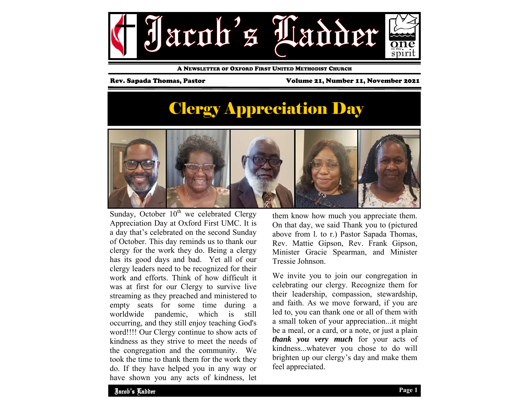

A NEWSLETTER OF OXFORD FIRST UNITED METHODIST CHURCH

Rev. Sapada Thomas, Pastor Volume 21, Number 11, November 2021

# Clergy Appreciation Day



Sunday, October  $10^{th}$  we celebrated Clergy Appreciation Day at Oxford First UMC. It is a day that's celebrated on the second Sunday of October. This day reminds us to thank our clergy for the work they do. Being a clergy has its good days and bad. Yet all of our clergy leaders need to be recognized for their work and efforts. Think of how difficult it was at first for our Clergy to survive live streaming as they preached and ministered to empty seats for some time during a worldwide pandemic, which is still occurring, and they still enjoy teaching God's word!!!! Our Clergy continue to show acts of kindness as they strive to meet the needs of the congregation and the community. We took the time to thank them for the work they do. If they have helped you in any way or have shown you any acts of kindness, let

them know how much you appreciate them. On that day, we said Thank you to (pictured above from l. to r.) Pastor Sapada Thomas, Rev. Mattie Gipson, Rev. Frank Gipson, Minister Gracie Spearman, and Minister Tressie Johnson.

We invite you to join our congregation in celebrating our clergy. Recognize them for their leadership, compassion, stewardship, and faith. As we move forward, if you are led to, you can thank one or all of them with a small token of your appreciation...it might be a meal, or a card, or a note, or just a plain *thank you very much* for your acts of kindness...whatever you chose to do will brighten up our clergy's day and make them feel appreciated.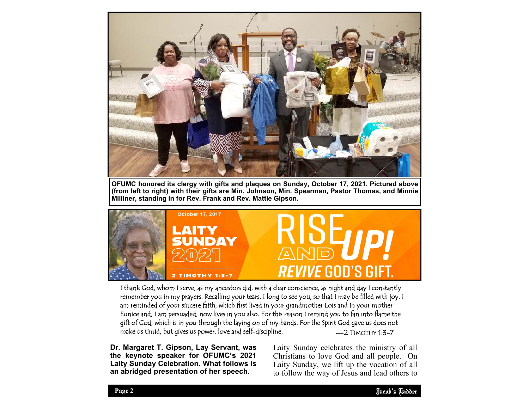

**OFUMC honored its clergy with gifts and plaques on Sunday, October 17, 2021. Pictured above (from left to right) with their gifts are Min. Johnson, Min. Spearman, Pastor Thomas, and Minnie Milliner, standing in for Rev. Frank and Rev. Mattie Gipson.** 



 $-2$  TIMOTHY 1 $-7$ I thank God, whom I serve, as my ancestors did, with a clear conscience, as night and day I constantly remember you in my prayers. Recalling your tears, I long to see you, so that I may be filled with joy. I am reminded of your sincere faith, which first lived in your grandmother Lois and in your mother Eunice and, I am persuaded, now lives in you also. For this reason I remind you to fan into flame the <sup>g</sup>ift of God, which is in you through the laying on of my hands. For the Spirit God gave us does not make us timid, but gives us power, love and self-discipline.

**Dr. Margaret T. Gipson, Lay Servant, was the keynote speaker for OFUMC's 2021 Laity Sunday Celebration. What follows is an abridged presentation of her speech.** 

Early Sunday Critically are inhibitly of an Laity Sunday celebrates the ministry of all Laity Sunday, we lift up the vocation of all to follow the way of Jesus and lead others to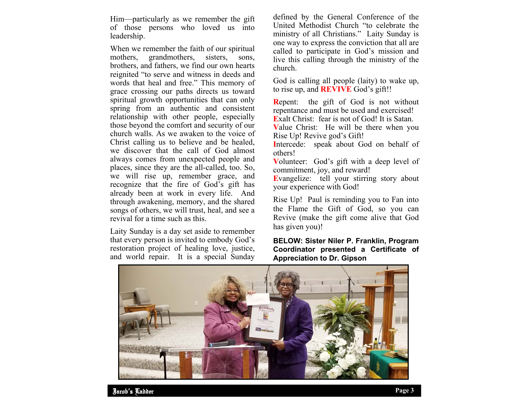Him—particularly as we remember the gift of those persons who loved us into leadership.

When we remember the faith of our spiritual mothers, grandmothers, sisters, sons, brothers, and fathers, we find our own hearts reignited "to serve and witness in deeds and words that heal and free." This memory of grace crossing our paths directs us toward spiritual growth opportunities that can only spring from an authentic and consistent relationship with other people, especially those beyond the comfort and security of our church walls. As we awaken to the voice of Christ calling us to believe and be healed, we discover that the call of God almost always comes from unexpected people and places, since they are the all-called, too. So, we will rise up, remember grace, and recognize that the fire of God's gift has already been at work in every life. And through awakening, memory, and the shared songs of others, we will trust, heal, and see a revival for a time such as this.

Laity Sunday is a day set aside to remember that every person is invited to embody God's restoration project of healing love, justice, and world repair. It is a special Sunday

defined by the General Conference of the United Methodist Church "to celebrate the ministry of all Christians." Laity Sunday is one way to express the conviction that all are called to participate in God's mission and live this calling through the ministry of the church.

God is calling all people (laity) to wake up, to rise up, and **REVIVE** God's gift!!

**R**epent: the gift of God is not without repentance and must be used and exercised! **E**xalt Christ: fear is not of God! It is Satan.

**V**alue Christ: He will be there when you Rise Up! Revive god's Gift!

**I**ntercede: speak about God on behalf of others!

**V**olunteer: God's gift with a deep level of commitment, joy, and reward!

**E**vangelize: tell your stirring story about your experience with God!

Rise Up! Paul is reminding you to Fan into the Flame the Gift of God, so you can Revive (make the gift come alive that God has given you)!

### **BELOW: Sister Niler P. Franklin, Program Coordinator presented a Certificate of Appreciation to Dr. Gipson**